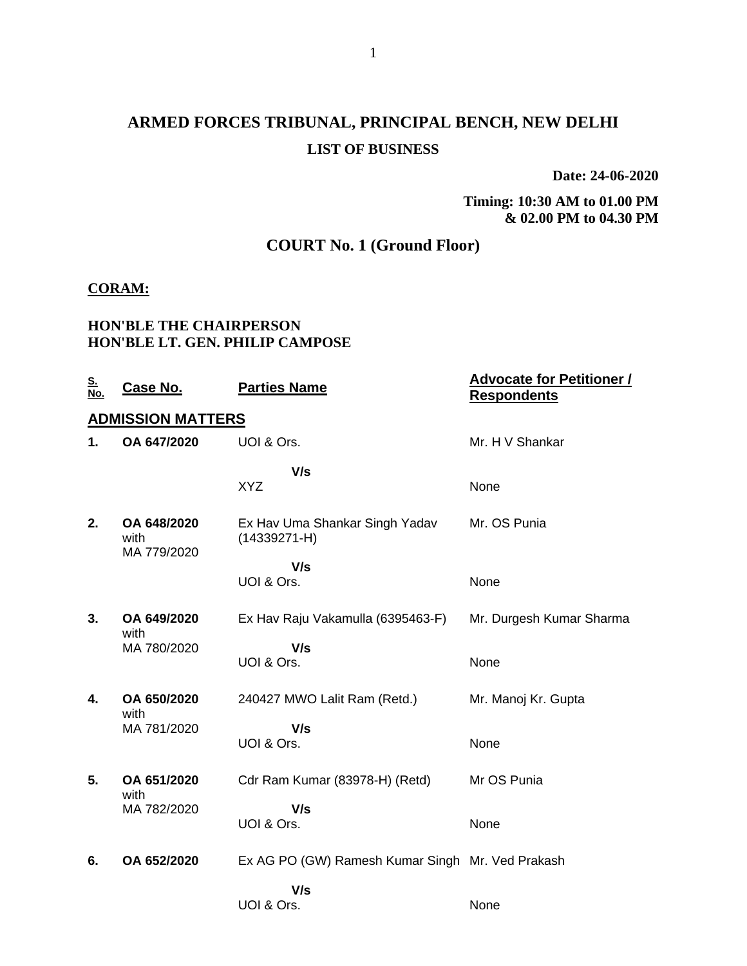## **ARMED FORCES TRIBUNAL, PRINCIPAL BENCH, NEW DELHI LIST OF BUSINESS**

**Date: 24-06-2020**

**Timing: 10:30 AM to 01.00 PM & 02.00 PM to 04.30 PM**

### **COURT No. 1 (Ground Floor)**

#### **CORAM:**

#### **HON'BLE THE CHAIRPERSON HON'BLE LT. GEN. PHILIP CAMPOSE**

| <u>S.</u><br>No. | <u>Case No.</u>                    | <b>Parties Name</b>                                | <b>Advocate for Petitioner /</b><br><b>Respondents</b> |
|------------------|------------------------------------|----------------------------------------------------|--------------------------------------------------------|
|                  | <b>ADMISSION MATTERS</b>           |                                                    |                                                        |
| 1.               | OA 647/2020                        | UOI & Ors.                                         | Mr. H V Shankar                                        |
|                  |                                    | V/s<br><b>XYZ</b>                                  | None                                                   |
| 2.               | OA 648/2020<br>with<br>MA 779/2020 | Ex Hav Uma Shankar Singh Yadav<br>$(14339271 - H)$ | Mr. OS Punia                                           |
|                  |                                    | V/s                                                |                                                        |
|                  |                                    | UOI & Ors.                                         | None                                                   |
| 3.               | OA 649/2020<br>with                | Ex Hav Raju Vakamulla (6395463-F)                  | Mr. Durgesh Kumar Sharma                               |
|                  | MA 780/2020                        | V/s                                                |                                                        |
|                  |                                    | UOI & Ors.                                         | None                                                   |
| 4.               | OA 650/2020<br>with                | 240427 MWO Lalit Ram (Retd.)                       | Mr. Manoj Kr. Gupta                                    |
|                  | MA 781/2020                        | V/s                                                |                                                        |
|                  |                                    | UOI & Ors.                                         | None                                                   |
| 5.               | OA 651/2020<br>with                | Cdr Ram Kumar (83978-H) (Retd)                     | Mr OS Punia                                            |
|                  | MA 782/2020                        | V/s                                                |                                                        |
|                  |                                    | UOI & Ors.                                         | None                                                   |
| 6.               | OA 652/2020                        | Ex AG PO (GW) Ramesh Kumar Singh Mr. Ved Prakash   |                                                        |
|                  |                                    | V/s                                                |                                                        |
|                  |                                    | UOI & Ors.                                         | None                                                   |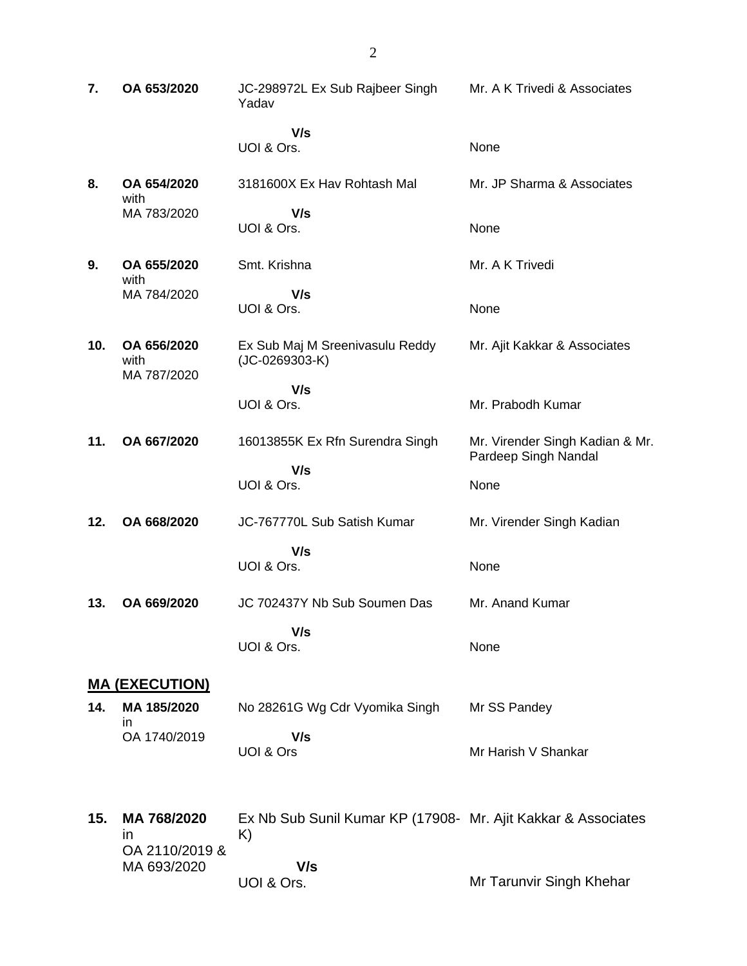| 7.  | OA 653/2020                         | JC-298972L Ex Sub Rajbeer Singh<br>Yadav                            | Mr. A K Trivedi & Associates                            |
|-----|-------------------------------------|---------------------------------------------------------------------|---------------------------------------------------------|
|     |                                     | V/s<br>UOI & Ors.                                                   | None                                                    |
| 8.  | OA 654/2020<br>with                 | 3181600X Ex Hav Rohtash Mal                                         | Mr. JP Sharma & Associates                              |
|     | MA 783/2020                         | V/s<br>UOI & Ors.                                                   | None                                                    |
| 9.  | OA 655/2020<br>with                 | Smt. Krishna                                                        | Mr. A K Trivedi                                         |
|     | MA 784/2020                         | V/s<br>UOI & Ors.                                                   | None                                                    |
| 10. | OA 656/2020<br>with<br>MA 787/2020  | Ex Sub Maj M Sreenivasulu Reddy<br>$(JC-0269303-K)$                 | Mr. Ajit Kakkar & Associates                            |
|     |                                     | V/s<br>UOI & Ors.                                                   | Mr. Prabodh Kumar                                       |
| 11. | OA 667/2020                         | 16013855K Ex Rfn Surendra Singh                                     | Mr. Virender Singh Kadian & Mr.<br>Pardeep Singh Nandal |
|     |                                     | V/s<br>UOI & Ors.                                                   | None                                                    |
| 12. | OA 668/2020                         | JC-767770L Sub Satish Kumar                                         | Mr. Virender Singh Kadian                               |
|     |                                     | V/s<br>UOI & Ors.                                                   | None                                                    |
| 13. | OA 669/2020                         | JC 702437Y Nb Sub Soumen Das                                        | Mr. Anand Kumar                                         |
|     |                                     | V/s<br>UOI & Ors.                                                   | None                                                    |
|     | <u>MA (EXECUTION)</u>               |                                                                     |                                                         |
| 14. | MA 185/2020<br>ın<br>OA 1740/2019   | No 28261G Wg Cdr Vyomika Singh<br>V/s                               | Mr SS Pandey                                            |
|     |                                     | UOI & Ors                                                           | Mr Harish V Shankar                                     |
| 15. | MA 768/2020<br>in<br>OA 2110/2019 & | Ex Nb Sub Sunil Kumar KP (17908- Mr. Ajit Kakkar & Associates<br>K) |                                                         |
|     | MA 693/2020                         | V/s<br>UOI & Ors.                                                   | Mr Tarunvir Singh Khehar                                |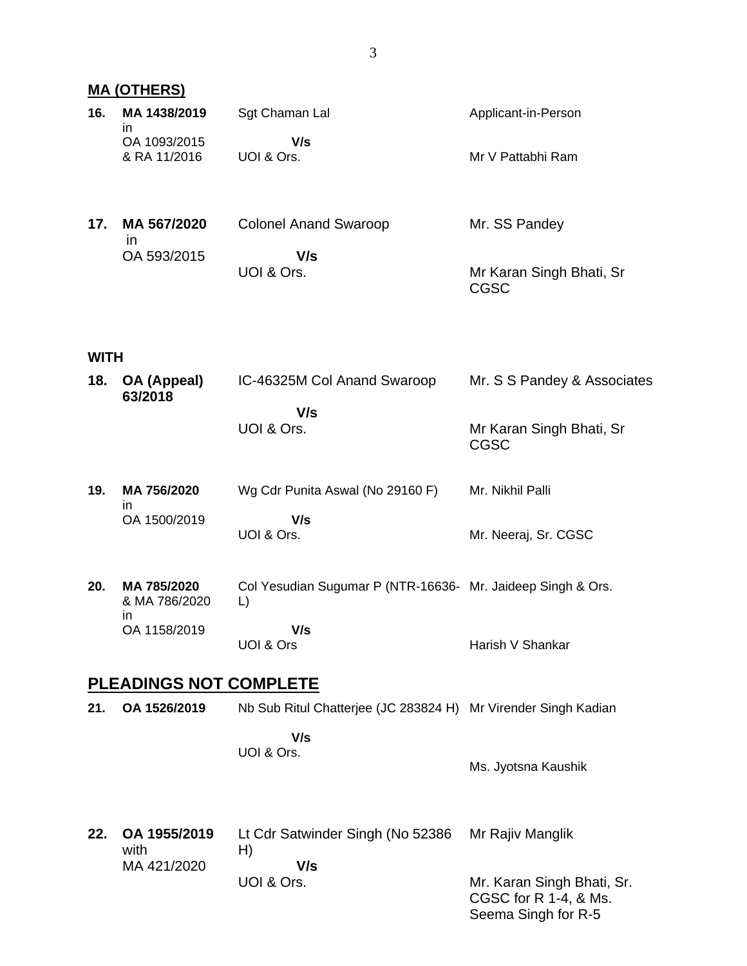### **MA (OTHERS)**

| 16. | MA 1438/2019<br>in           | Sgt Chaman Lal               | Applicant-in-Person |
|-----|------------------------------|------------------------------|---------------------|
|     | OA 1093/2015<br>& RA 11/2016 | V/s<br>UOI & Ors.            | Mr V Pattabhi Ram   |
| 17. | MA 567/2020<br>ın            | <b>Colonel Anand Swaroop</b> | Mr. SS Pandey       |
|     | OA 593/2015                  | V/s                          |                     |

Mr Karan Singh Bhati, Sr

CGSC

UOI & Ors.

### **WITH**

| 18. | OA (Appeal)<br>63/2018             | IC-46325M Col Anand Swaroop                                       | Mr. S S Pandey & Associates                                                |
|-----|------------------------------------|-------------------------------------------------------------------|----------------------------------------------------------------------------|
|     |                                    | V/s<br>UOI & Ors.                                                 | Mr Karan Singh Bhati, Sr<br><b>CGSC</b>                                    |
| 19. | MA 756/2020<br>in                  | Wg Cdr Punita Aswal (No 29160 F)                                  | Mr. Nikhil Palli                                                           |
|     | OA 1500/2019                       | V/s<br>UOI & Ors.                                                 | Mr. Neeraj, Sr. CGSC                                                       |
| 20. | MA 785/2020<br>& MA 786/2020<br>in | Col Yesudian Sugumar P (NTR-16636- Mr. Jaideep Singh & Ors.<br>L) |                                                                            |
|     | OA 1158/2019                       | V/s<br>UOI & Ors                                                  | Harish V Shankar                                                           |
|     | <b>PLEADINGS NOT COMPLETE</b>      |                                                                   |                                                                            |
| 21. | OA 1526/2019                       | Nb Sub Ritul Chatterjee (JC 283824 H) Mr Virender Singh Kadian    |                                                                            |
|     |                                    | V/s<br>UOI & Ors.                                                 | Ms. Jyotsna Kaushik                                                        |
| 22. | OA 1955/2019<br>with               | Lt Cdr Satwinder Singh (No 52386<br>H)                            | Mr Rajiv Manglik                                                           |
|     | MA 421/2020                        | V/s<br>UOI & Ors.                                                 | Mr. Karan Singh Bhati, Sr.<br>CGSC for R 1-4, & Ms.<br>Seema Singh for R-5 |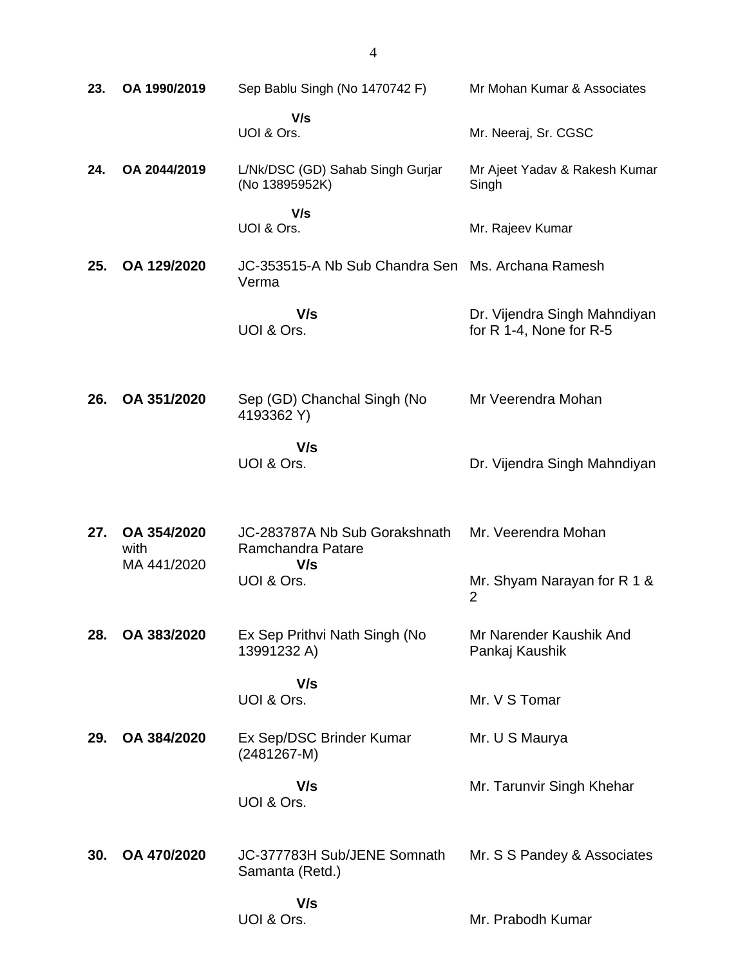| 23. | OA 1990/2019                       | Sep Bablu Singh (No 1470742 F)                             | Mr Mohan Kumar & Associates                             |
|-----|------------------------------------|------------------------------------------------------------|---------------------------------------------------------|
|     |                                    | V/s<br>UOI & Ors.                                          | Mr. Neeraj, Sr. CGSC                                    |
| 24. | OA 2044/2019                       | L/Nk/DSC (GD) Sahab Singh Gurjar<br>(No 13895952K)         | Mr Ajeet Yadav & Rakesh Kumar<br>Singh                  |
|     |                                    | V/s<br>UOI & Ors.                                          | Mr. Rajeev Kumar                                        |
| 25. | OA 129/2020                        | JC-353515-A Nb Sub Chandra Sen Ms. Archana Ramesh<br>Verma |                                                         |
|     |                                    | V/s<br>UOI & Ors.                                          | Dr. Vijendra Singh Mahndiyan<br>for R 1-4, None for R-5 |
| 26. | OA 351/2020                        | Sep (GD) Chanchal Singh (No<br>4193362 Y)                  | Mr Veerendra Mohan                                      |
|     |                                    | V/s<br>UOI & Ors.                                          | Dr. Vijendra Singh Mahndiyan                            |
| 27. | OA 354/2020<br>with<br>MA 441/2020 | JC-283787A Nb Sub Gorakshnath<br>Ramchandra Patare<br>V/s  | Mr. Veerendra Mohan                                     |
|     |                                    | UOI & Ors.                                                 | Mr. Shyam Narayan for R 1 &<br>2                        |
| 28. | OA 383/2020                        | Ex Sep Prithvi Nath Singh (No<br>13991232 A)               | Mr Narender Kaushik And<br>Pankaj Kaushik               |
|     |                                    | V/s<br>UOI & Ors.                                          | Mr. V S Tomar                                           |
| 29. | OA 384/2020                        | Ex Sep/DSC Brinder Kumar<br>$(2481267-M)$                  | Mr. U S Maurya                                          |
|     |                                    | V/s<br>UOI & Ors.                                          | Mr. Tarunvir Singh Khehar                               |
| 30. | OA 470/2020                        | JC-377783H Sub/JENE Somnath<br>Samanta (Retd.)             | Mr. S S Pandey & Associates                             |
|     |                                    | V/s<br>UOI & Ors.                                          | Mr. Prabodh Kumar                                       |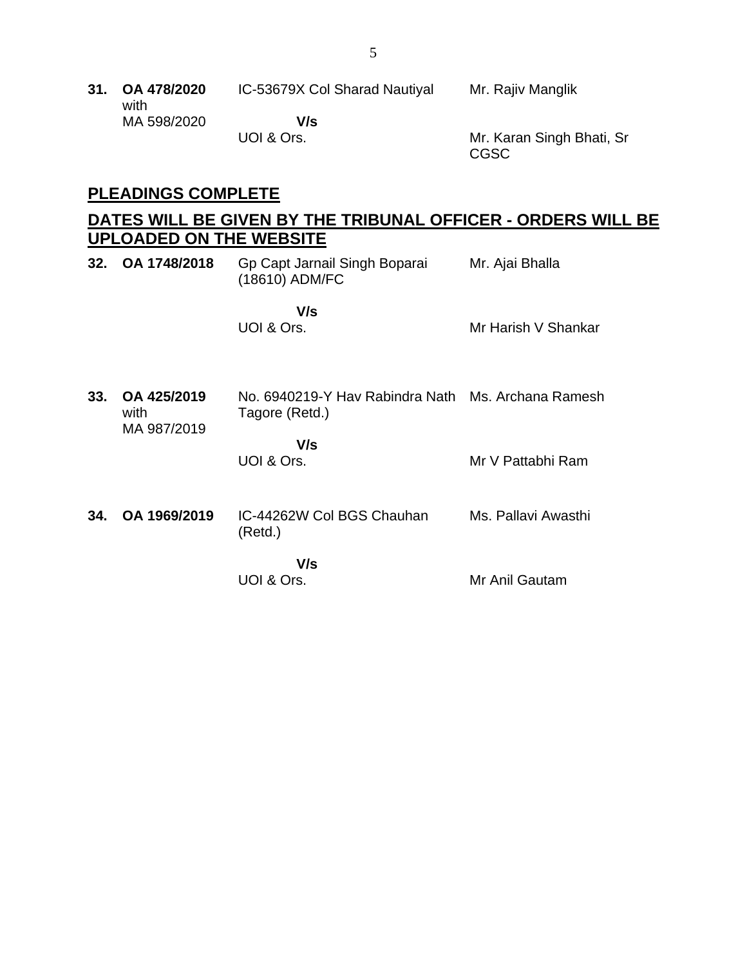| 31. OA 478/2020<br>with | IC-53679X Col Sharad Nautiyal | Mr. Rajiv Manglik         |
|-------------------------|-------------------------------|---------------------------|
| MA 598/2020             | V/s<br>UOI & Ors.             | Mr. Karan Singh Bhati, Sr |

### **PLEADINGS COMPLETE**

### **DATES WILL BE GIVEN BY THE TRIBUNAL OFFICER - ORDERS WILL BE UPLOADED ON THE WEBSITE**

CGSC

|     | 32. OA 1748/2018                   | Gp Capt Jarnail Singh Boparai<br>(18610) ADM/FC                             | Mr. Ajai Bhalla     |
|-----|------------------------------------|-----------------------------------------------------------------------------|---------------------|
|     |                                    | V/s<br>UOI & Ors.                                                           | Mr Harish V Shankar |
| 33. | OA 425/2019<br>with<br>MA 987/2019 | No. 6940219-Y Hav Rabindra Nath Ms. Archana Ramesh<br>Tagore (Retd.)<br>V/s |                     |
|     |                                    | UOI & Ors.                                                                  | Mr V Pattabhi Ram   |
|     | 34. OA 1969/2019                   | IC-44262W Col BGS Chauhan<br>(Retd.)                                        | Ms. Pallavi Awasthi |
|     |                                    | V/s<br>UOI & Ors.                                                           | Mr Anil Gautam      |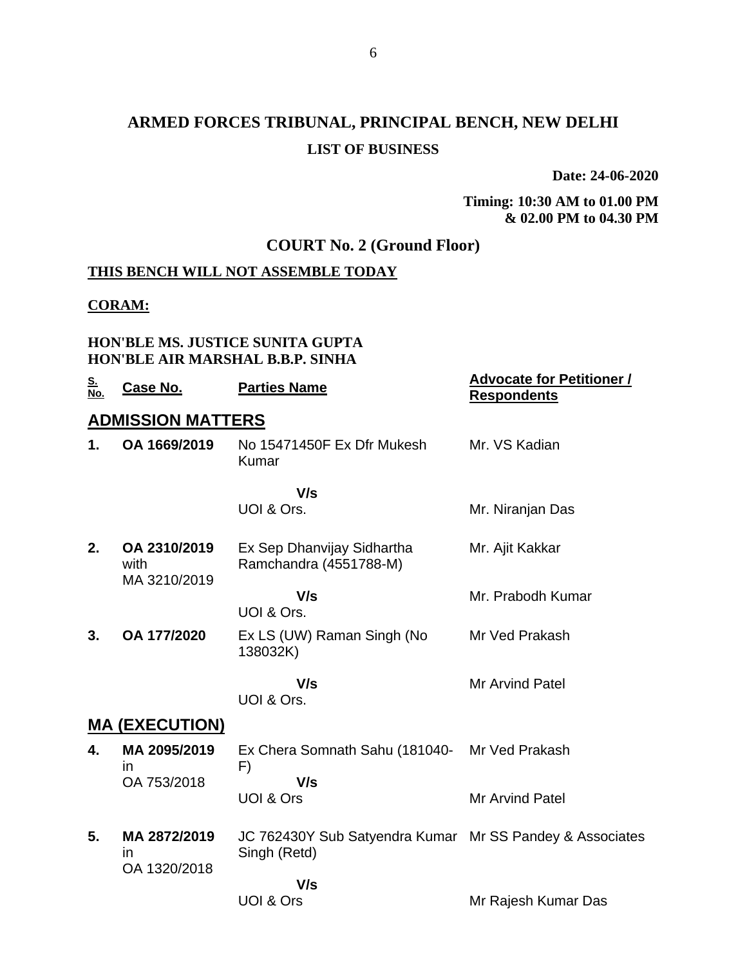## **ARMED FORCES TRIBUNAL, PRINCIPAL BENCH, NEW DELHI LIST OF BUSINESS**

**Date: 24-06-2020**

**Timing: 10:30 AM to 01.00 PM & 02.00 PM to 04.30 PM**

### **COURT No. 2 (Ground Floor)**

#### **THIS BENCH WILL NOT ASSEMBLE TODAY**

#### **CORAM:**

#### **HON'BLE MS. JUSTICE SUNITA GUPTA HON'BLE AIR MARSHAL B.B.P. SINHA**

| <u>S.</u><br>No. | Case No.                             | <b>Parties Name</b>                                                      | <b>Advocate for Petitioner /</b><br><b>Respondents</b> |
|------------------|--------------------------------------|--------------------------------------------------------------------------|--------------------------------------------------------|
|                  | <b>ADMISSION MATTERS</b>             |                                                                          |                                                        |
| 1.               | OA 1669/2019                         | No 15471450F Ex Dfr Mukesh<br>Kumar                                      | Mr. VS Kadian                                          |
|                  |                                      | V/s                                                                      |                                                        |
|                  |                                      | UOI & Ors.                                                               | Mr. Niranjan Das                                       |
| 2.               | OA 2310/2019<br>with<br>MA 3210/2019 | Ex Sep Dhanvijay Sidhartha<br>Ramchandra (4551788-M)                     | Mr. Ajit Kakkar                                        |
|                  |                                      | V/s<br>UOI & Ors.                                                        | Mr. Prabodh Kumar                                      |
| 3.               | OA 177/2020                          | Ex LS (UW) Raman Singh (No<br>138032K)                                   | Mr Ved Prakash                                         |
|                  |                                      | V/s<br>UOI & Ors.                                                        | <b>Mr Arvind Patel</b>                                 |
|                  | <b>MA (EXECUTION)</b>                |                                                                          |                                                        |
| 4.               | MA 2095/2019<br>in                   | Ex Chera Somnath Sahu (181040- Mr Ved Prakash<br>F)                      |                                                        |
|                  | OA 753/2018                          | V/s<br><b>UOI &amp; Ors</b>                                              | <b>Mr Arvind Patel</b>                                 |
| 5.               | MA 2872/2019<br>ın<br>OA 1320/2018   | JC 762430Y Sub Satyendra Kumar Mr SS Pandey & Associates<br>Singh (Retd) |                                                        |
|                  |                                      | V/s<br>UOI & Ors                                                         | Mr Rajesh Kumar Das                                    |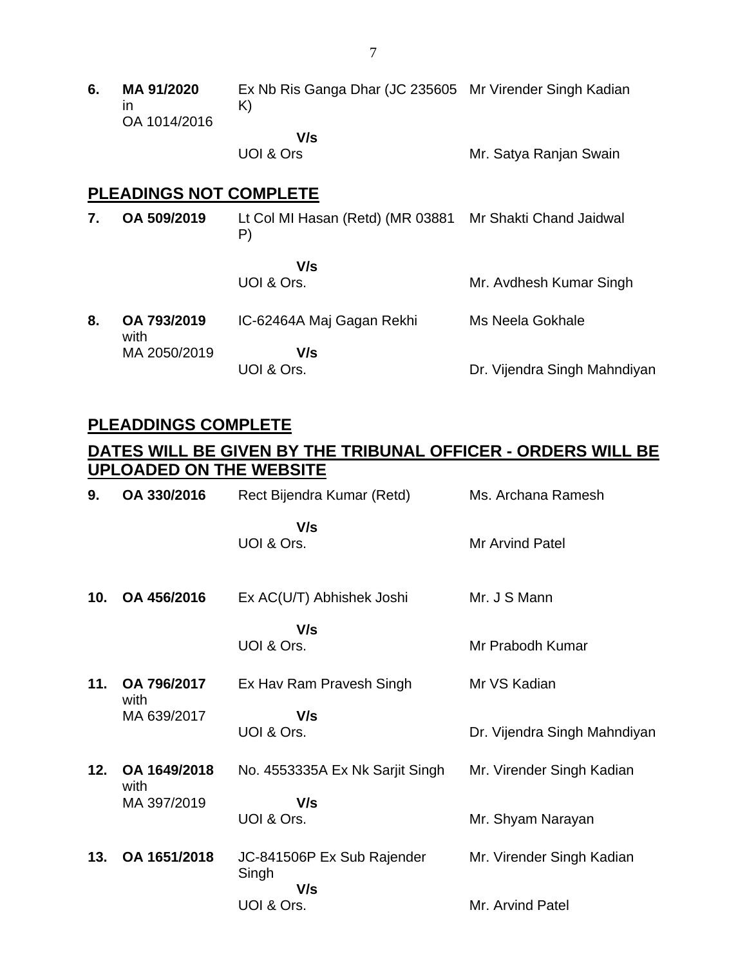**6. MA 91/2020** in OA 1014/2016 Ex Nb Ris Ganga Dhar (JC 235605 Mr Virender Singh Kadian K)  **V/s**

UOI & Ors

Mr. Satya Ranjan Swain

#### **PLEADINGS NOT COMPLETE**

**7. OA 509/2019** Lt Col MI Hasan (Retd) (MR 03881 Mr Shakti Chand Jaidwal P)

> **V/s** UOI & Ors.

Mr. Avdhesh Kumar Singh

**8. OA 793/2019** with MA 2050/2019 IC-62464A Maj Gagan Rekhi  **V/s** UOI & Ors. Ms Neela Gokhale Dr. Vijendra Singh Mahndiyan

### **PLEADDINGS COMPLETE**

### **DATES WILL BE GIVEN BY THE TRIBUNAL OFFICER - ORDERS WILL BE UPLOADED ON THE WEBSITE**

| 9.  | OA 330/2016          | Rect Bijendra Kumar (Retd)                 | Ms. Archana Ramesh           |
|-----|----------------------|--------------------------------------------|------------------------------|
|     |                      | V/s<br>UOI & Ors.                          | <b>Mr Arvind Patel</b>       |
| 10. | OA 456/2016          | Ex AC(U/T) Abhishek Joshi                  | Mr. J S Mann                 |
|     |                      | V/s<br>UOI & Ors.                          | Mr Prabodh Kumar             |
| 11. | OA 796/2017<br>with  | Ex Hav Ram Pravesh Singh                   | Mr VS Kadian                 |
|     | MA 639/2017          | V/s<br>UOI & Ors.                          | Dr. Vijendra Singh Mahndiyan |
| 12. | OA 1649/2018<br>with | No. 4553335A Ex Nk Sarjit Singh            | Mr. Virender Singh Kadian    |
|     | MA 397/2019          | V/s<br>UOI & Ors.                          | Mr. Shyam Narayan            |
| 13. | OA 1651/2018         | JC-841506P Ex Sub Rajender<br>Singh<br>V/s | Mr. Virender Singh Kadian    |
|     |                      | UOI & Ors.                                 | Mr. Arvind Patel             |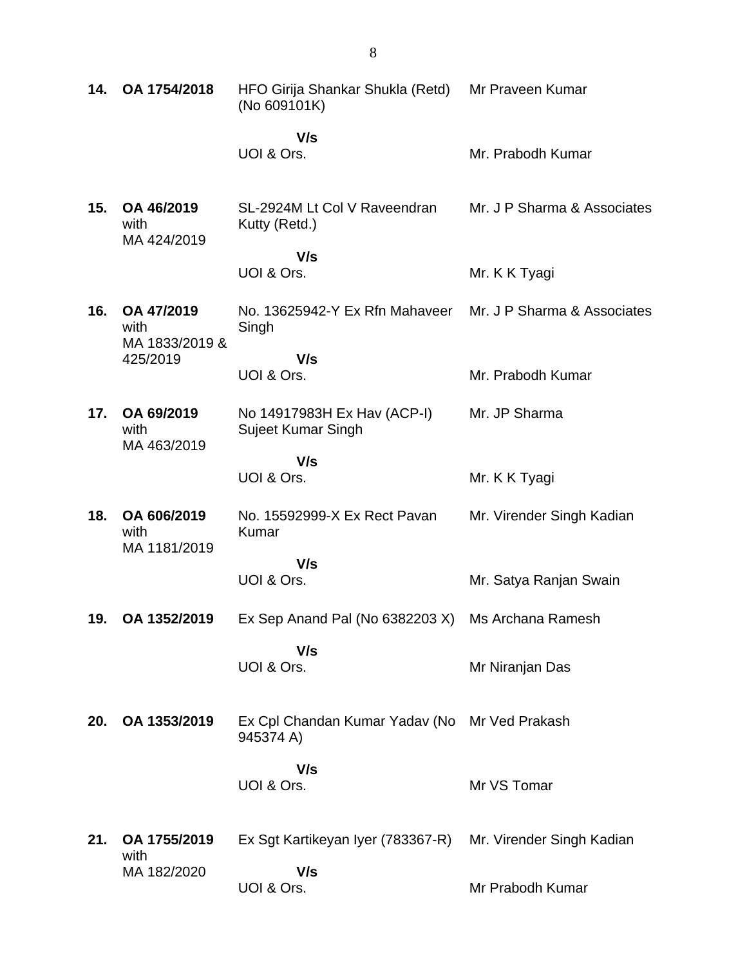| 14. | OA 1754/2018                        | HFO Girija Shankar Shukla (Retd)<br>(No 609101K)           | Mr Praveen Kumar            |
|-----|-------------------------------------|------------------------------------------------------------|-----------------------------|
|     |                                     | V/s<br>UOI & Ors.                                          | Mr. Prabodh Kumar           |
| 15. | OA 46/2019<br>with<br>MA 424/2019   | SL-2924M Lt Col V Raveendran<br>Kutty (Retd.)              | Mr. J P Sharma & Associates |
|     |                                     | V/s<br>UOI & Ors.                                          | Mr. K K Tyagi               |
| 16. | OA 47/2019<br>with                  | No. 13625942-Y Ex Rfn Mahaveer<br>Singh                    | Mr. J P Sharma & Associates |
|     | MA 1833/2019 &<br>425/2019          | V/s<br>UOI & Ors.                                          | Mr. Prabodh Kumar           |
| 17. | OA 69/2019<br>with                  | No 14917983H Ex Hav (ACP-I)<br><b>Sujeet Kumar Singh</b>   | Mr. JP Sharma               |
|     | MA 463/2019                         | V/s<br>UOI & Ors.                                          | Mr. K K Tyagi               |
| 18. | OA 606/2019<br>with                 | No. 15592999-X Ex Rect Pavan<br>Kumar                      | Mr. Virender Singh Kadian   |
|     | MA 1181/2019                        | V/s<br>UOI & Ors.                                          | Mr. Satya Ranjan Swain      |
| 19. | OA 1352/2019                        | Ex Sep Anand Pal (No 6382203 X)                            | Ms Archana Ramesh           |
|     |                                     | V/s<br>UOI & Ors.                                          | Mr Niranjan Das             |
| 20. | OA 1353/2019                        | Ex Cpl Chandan Kumar Yadav (No Mr Ved Prakash<br>945374 A) |                             |
|     |                                     | V/s<br>UOI & Ors.                                          | Mr VS Tomar                 |
| 21. | OA 1755/2019<br>with<br>MA 182/2020 | Ex Sgt Kartikeyan Iyer (783367-R)<br>V/s                   | Mr. Virender Singh Kadian   |
|     |                                     | UOI & Ors.                                                 | Mr Prabodh Kumar            |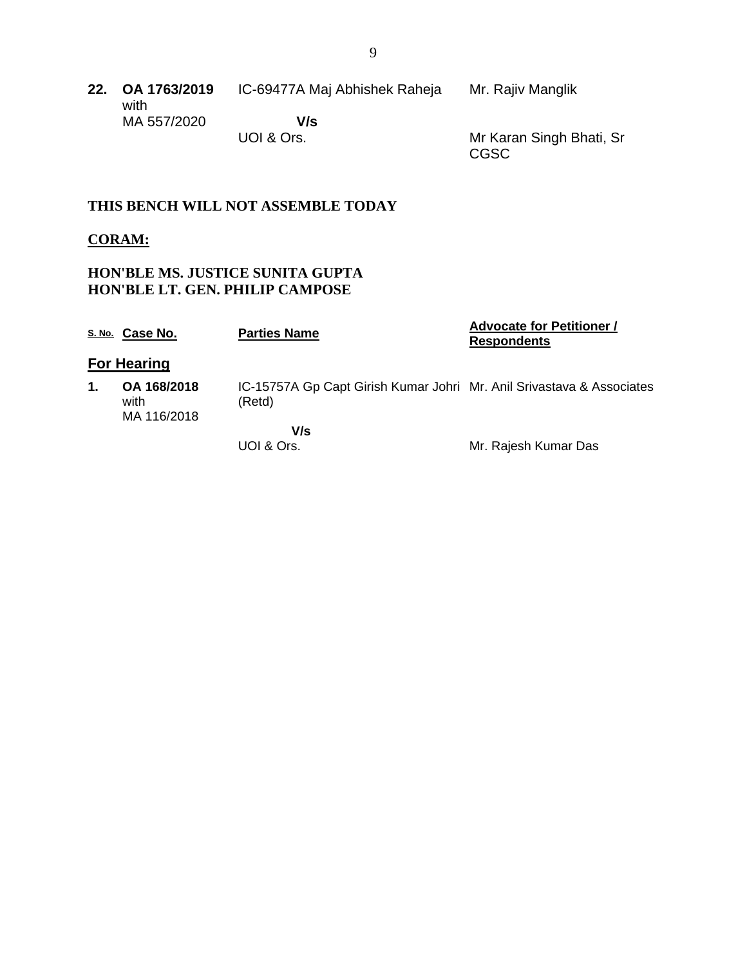| 22. OA 1763/2019 | IC-69477A Maj Abhishek Raheja | Mr. Rajiv Manglik |
|------------------|-------------------------------|-------------------|
| with             |                               |                   |
| MA 557/2020      | V/s                           |                   |

UOI & Ors.

Mr Karan Singh Bhati, Sr CGSC

#### **THIS BENCH WILL NOT ASSEMBLE TODAY**

#### **CORAM:**

#### **HON'BLE MS. JUSTICE SUNITA GUPTA HON'BLE LT. GEN. PHILIP CAMPOSE**

|    | S. No. Case No.                    | <b>Parties Name</b>                                                             | <b>Advocate for Petitioner /</b><br><b>Respondents</b> |
|----|------------------------------------|---------------------------------------------------------------------------------|--------------------------------------------------------|
|    | <b>For Hearing</b>                 |                                                                                 |                                                        |
| 1. | OA 168/2018<br>with<br>MA 116/2018 | IC-15757A Gp Capt Girish Kumar Johri Mr. Anil Srivastava & Associates<br>(Retd) |                                                        |
|    |                                    | V/s<br>UOI & Ors.                                                               | Mr. Rajesh Kumar Das                                   |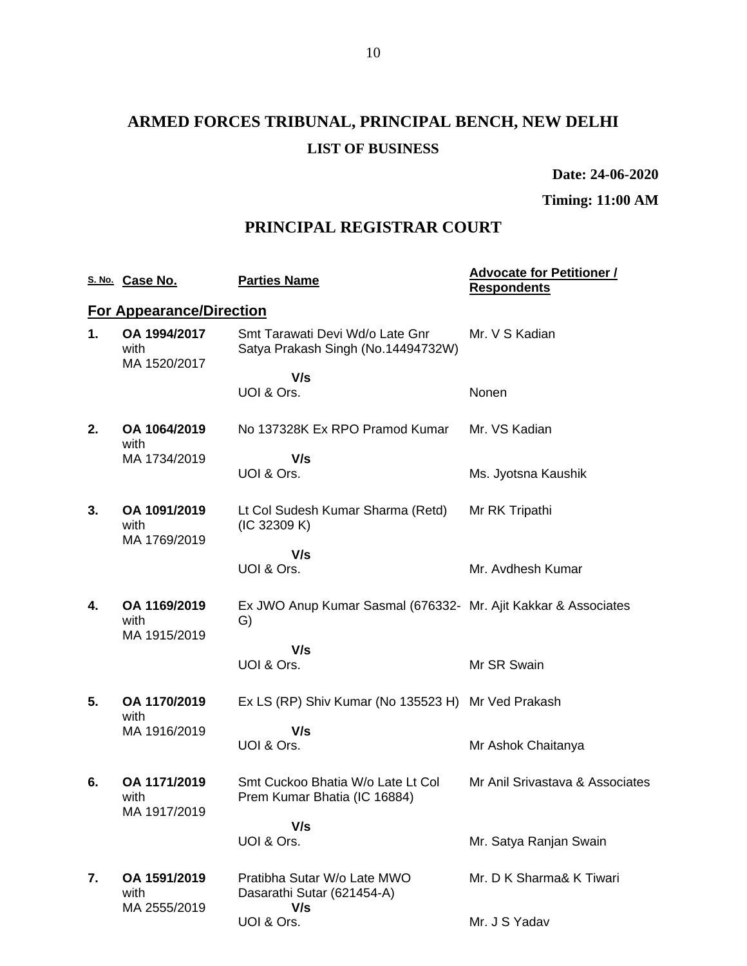# **ARMED FORCES TRIBUNAL, PRINCIPAL BENCH, NEW DELHI LIST OF BUSINESS**

**Date: 24-06-2020**

**Timing: 11:00 AM**

### **PRINCIPAL REGISTRAR COURT**

|    | S. No. Case No.                      | <b>Parties Name</b>                                                   | <b>Advocate for Petitioner /</b><br><b>Respondents</b> |
|----|--------------------------------------|-----------------------------------------------------------------------|--------------------------------------------------------|
|    | <b>For Appearance/Direction</b>      |                                                                       |                                                        |
| 1. | OA 1994/2017<br>with<br>MA 1520/2017 | Smt Tarawati Devi Wd/o Late Gnr<br>Satya Prakash Singh (No.14494732W) | Mr. V S Kadian                                         |
|    |                                      | V/s<br>UOI & Ors.                                                     | Nonen                                                  |
| 2. | OA 1064/2019<br>with                 | No 137328K Ex RPO Pramod Kumar                                        | Mr. VS Kadian                                          |
|    | MA 1734/2019                         | V/s<br>UOI & Ors.                                                     | Ms. Jyotsna Kaushik                                    |
| 3. | OA 1091/2019<br>with<br>MA 1769/2019 | Lt Col Sudesh Kumar Sharma (Retd)<br>(IC 32309 K)                     | Mr RK Tripathi                                         |
|    |                                      | V/s<br>UOI & Ors.                                                     | Mr. Avdhesh Kumar                                      |
| 4. | OA 1169/2019<br>with                 | Ex JWO Anup Kumar Sasmal (676332- Mr. Ajit Kakkar & Associates<br>G)  |                                                        |
|    | MA 1915/2019                         | V/s                                                                   |                                                        |
|    |                                      | UOI & Ors.                                                            | Mr SR Swain                                            |
| 5. | OA 1170/2019<br>with                 | Ex LS (RP) Shiv Kumar (No 135523 H) Mr Ved Prakash                    |                                                        |
|    | MA 1916/2019                         | V/s<br>UOI & Ors.                                                     | Mr Ashok Chaitanya                                     |
| 6. | OA 1171/2019<br>with<br>MA 1917/2019 | Smt Cuckoo Bhatia W/o Late Lt Col<br>Prem Kumar Bhatia (IC 16884)     | Mr Anil Srivastava & Associates                        |
|    |                                      | V/s<br>UOI & Ors.                                                     | Mr. Satya Ranjan Swain                                 |
| 7. | OA 1591/2019<br>with<br>MA 2555/2019 | Pratibha Sutar W/o Late MWO<br>Dasarathi Sutar (621454-A)<br>V/s      | Mr. D K Sharma& K Tiwari                               |
|    |                                      | UOI & Ors.                                                            | Mr. J S Yadav                                          |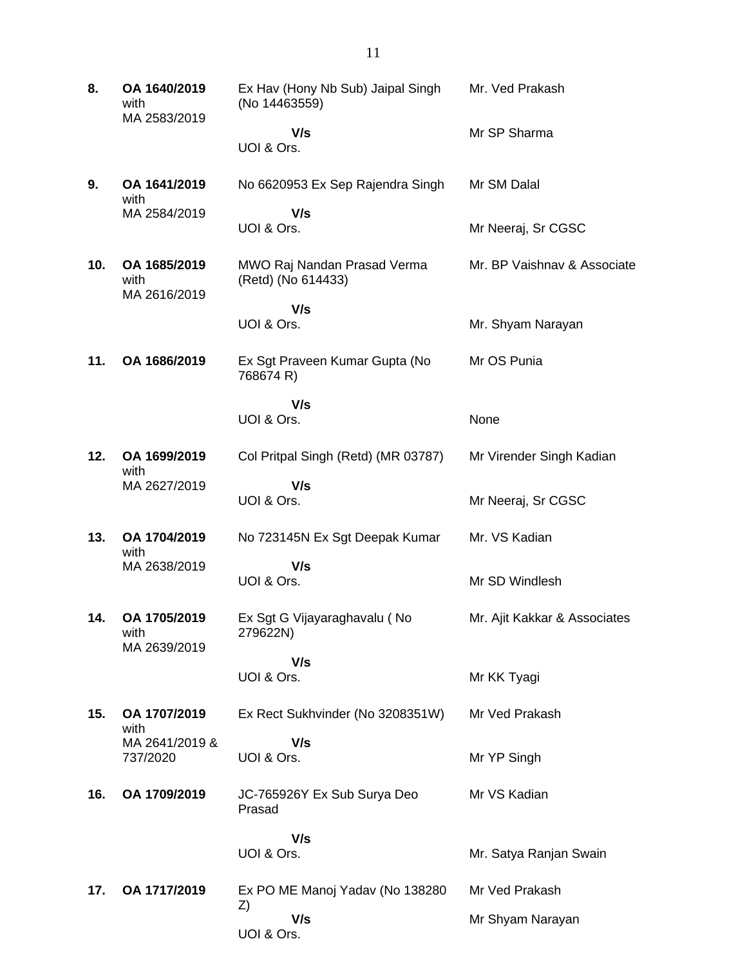**8. OA 1640/2019** with MA 2583/2019 Ex Hav (Hony Nb Sub) Jaipal Singh (No 14463559)  **V/s** UOI & Ors. Mr. Ved Prakash Mr SP Sharma **9. OA 1641/2019** with MA 2584/2019 No 6620953 Ex Sep Rajendra Singh  **V/s** UOI & Ors. Mr SM Dalal Mr Neeraj, Sr CGSC **10. OA 1685/2019** with MA 2616/2019 MWO Raj Nandan Prasad Verma (Retd) (No 614433)  **V/s** UOI & Ors. Mr. BP Vaishnav & Associate Mr. Shyam Narayan **11. OA 1686/2019** Ex Sgt Praveen Kumar Gupta (No 768674 R)  **V/s** UOI & Ors. Mr OS Punia None **12. OA 1699/2019** with MA 2627/2019 Col Pritpal Singh (Retd) (MR 03787)  **V/s** UOI & Ors. Mr Virender Singh Kadian Mr Neeraj, Sr CGSC **13. OA 1704/2019** with MA 2638/2019 No 723145N Ex Sgt Deepak Kumar  **V/s** UOI & Ors. Mr. VS Kadian Mr SD Windlesh **14. OA 1705/2019** with MA 2639/2019 Ex Sgt G Vijayaraghavalu ( No 279622N)  **V/s** UOI & Ors. Mr. Ajit Kakkar & Associates Mr KK Tyagi **15. OA 1707/2019** with MA 2641/2019 & 737/2020 Ex Rect Sukhvinder (No 3208351W)  **V/s** UOI & Ors. Mr Ved Prakash Mr YP Singh **16. OA 1709/2019** JC-765926Y Ex Sub Surya Deo Prasad  **V/s** UOI & Ors. Mr VS Kadian Mr. Satya Ranjan Swain **17. OA 1717/2019** Ex PO ME Manoj Yadav (No 138280 Z)  **V/s** UOI & Ors. Mr Ved Prakash Mr Shyam Narayan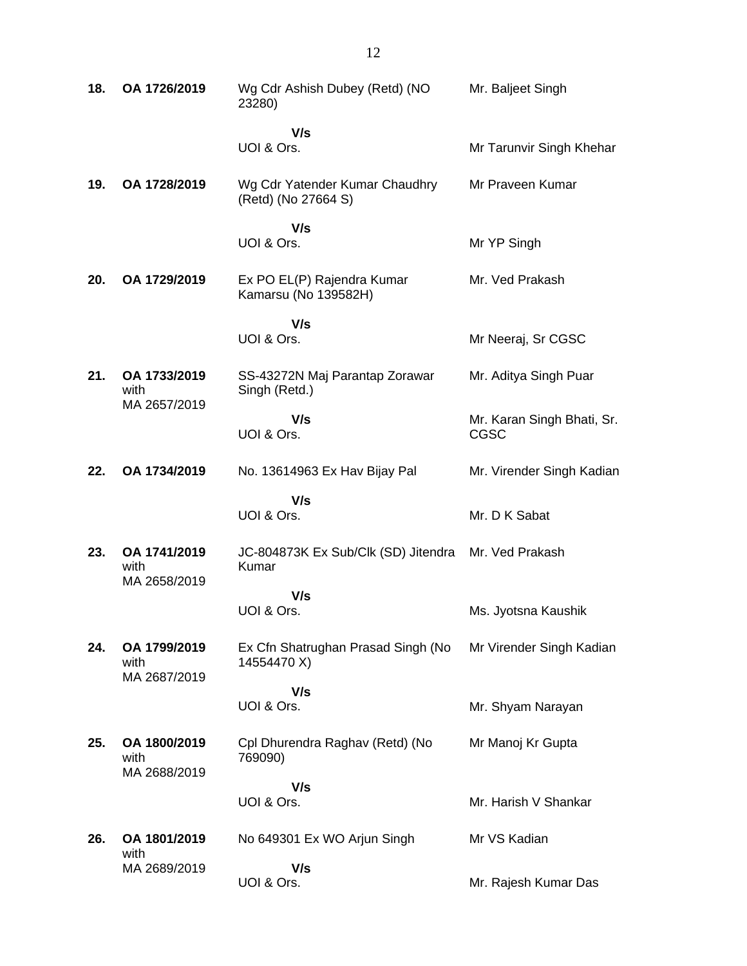| 18. | OA 1726/2019                         | Wg Cdr Ashish Dubey (Retd) (NO<br>23280)              | Mr. Baljeet Singh                         |
|-----|--------------------------------------|-------------------------------------------------------|-------------------------------------------|
|     |                                      | V/s<br>UOI & Ors.                                     | Mr Tarunvir Singh Khehar                  |
| 19. | OA 1728/2019                         | Wg Cdr Yatender Kumar Chaudhry<br>(Retd) (No 27664 S) | Mr Praveen Kumar                          |
|     |                                      | V/s<br>UOI & Ors.                                     | Mr YP Singh                               |
| 20. | OA 1729/2019                         | Ex PO EL(P) Rajendra Kumar<br>Kamarsu (No 139582H)    | Mr. Ved Prakash                           |
|     |                                      | V/s                                                   |                                           |
|     |                                      | UOI & Ors.                                            | Mr Neeraj, Sr CGSC                        |
| 21. | OA 1733/2019<br>with<br>MA 2657/2019 | SS-43272N Maj Parantap Zorawar<br>Singh (Retd.)       | Mr. Aditya Singh Puar                     |
|     |                                      | V/s<br>UOI & Ors.                                     | Mr. Karan Singh Bhati, Sr.<br><b>CGSC</b> |
| 22. | OA 1734/2019                         | No. 13614963 Ex Hav Bijay Pal                         | Mr. Virender Singh Kadian                 |
|     |                                      | V/s<br>UOI & Ors.                                     | Mr. D K Sabat                             |
| 23. | OA 1741/2019<br>with<br>MA 2658/2019 | JC-804873K Ex Sub/Clk (SD) Jitendra<br>Kumar          | Mr. Ved Prakash                           |
|     |                                      | V/s                                                   |                                           |
|     |                                      | UOI & Ors.                                            | Ms. Jyotsna Kaushik                       |
| 24. | OA 1799/2019<br>with<br>MA 2687/2019 | Ex Cfn Shatrughan Prasad Singh (No<br>14554470 X)     | Mr Virender Singh Kadian                  |
|     |                                      | V/s                                                   |                                           |
|     |                                      | UOI & Ors.                                            | Mr. Shyam Narayan                         |
| 25. | OA 1800/2019<br>with<br>MA 2688/2019 | Cpl Dhurendra Raghav (Retd) (No<br>769090)            | Mr Manoj Kr Gupta                         |
|     |                                      | V/s                                                   |                                           |
|     |                                      | UOI & Ors.                                            | Mr. Harish V Shankar                      |
| 26. | OA 1801/2019<br>with                 | No 649301 Ex WO Arjun Singh                           | Mr VS Kadian                              |
|     | MA 2689/2019                         | V/s<br>UOI & Ors.                                     | Mr. Rajesh Kumar Das                      |
|     |                                      |                                                       |                                           |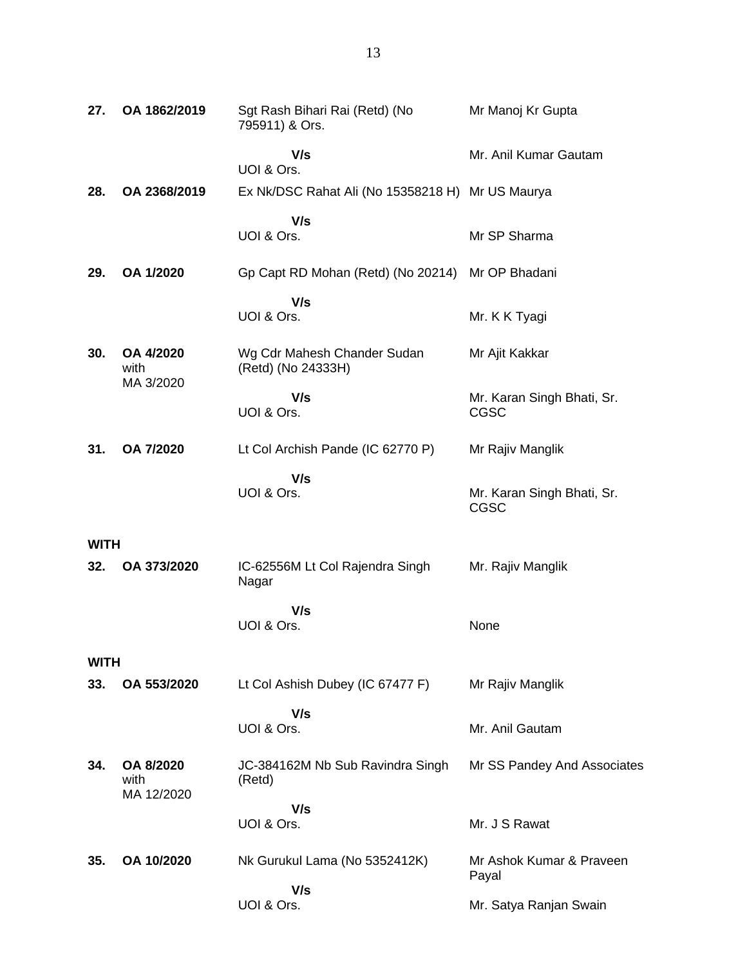| 27.         | OA 1862/2019                    | Sgt Rash Bihari Rai (Retd) (No<br>795911) & Ors.  | Mr Manoj Kr Gupta                         |
|-------------|---------------------------------|---------------------------------------------------|-------------------------------------------|
|             |                                 | V/s<br>UOI & Ors.                                 | Mr. Anil Kumar Gautam                     |
| 28.         | OA 2368/2019                    | Ex Nk/DSC Rahat Ali (No 15358218 H) Mr US Maurya  |                                           |
|             |                                 | V/s<br>UOI & Ors.                                 | Mr SP Sharma                              |
| 29.         | OA 1/2020                       | Gp Capt RD Mohan (Retd) (No 20214)                | Mr OP Bhadani                             |
|             |                                 | V/s<br>UOI & Ors.                                 | Mr. K K Tyagi                             |
| 30.         | OA 4/2020<br>with<br>MA 3/2020  | Wg Cdr Mahesh Chander Sudan<br>(Retd) (No 24333H) | Mr Ajit Kakkar                            |
|             |                                 | V/s<br>UOI & Ors.                                 | Mr. Karan Singh Bhati, Sr.<br>CGSC        |
| 31.         | OA 7/2020                       | Lt Col Archish Pande (IC 62770 P)                 | Mr Rajiv Manglik                          |
|             |                                 | V/s<br>UOI & Ors.                                 | Mr. Karan Singh Bhati, Sr.<br><b>CGSC</b> |
| WITH        |                                 |                                                   |                                           |
| 32.         | OA 373/2020                     | IC-62556M Lt Col Rajendra Singh<br>Nagar          | Mr. Rajiv Manglik                         |
|             |                                 | V/s<br>UOI & Ors.                                 | None                                      |
| <b>WITH</b> |                                 |                                                   |                                           |
| 33.         | OA 553/2020                     | Lt Col Ashish Dubey (IC 67477 F)                  | Mr Rajiv Manglik                          |
|             |                                 | V/s<br>UOI & Ors.                                 | Mr. Anil Gautam                           |
| 34.         | OA 8/2020<br>with<br>MA 12/2020 | JC-384162M Nb Sub Ravindra Singh<br>(Retd)        | Mr SS Pandey And Associates               |
|             |                                 | V/s                                               |                                           |
|             |                                 | UOI & Ors.                                        | Mr. J S Rawat                             |
| 35.         | OA 10/2020                      | Nk Gurukul Lama (No 5352412K)                     | Mr Ashok Kumar & Praveen<br>Payal         |
|             |                                 | V/s<br>UOI & Ors.                                 | Mr. Satya Ranjan Swain                    |
|             |                                 |                                                   |                                           |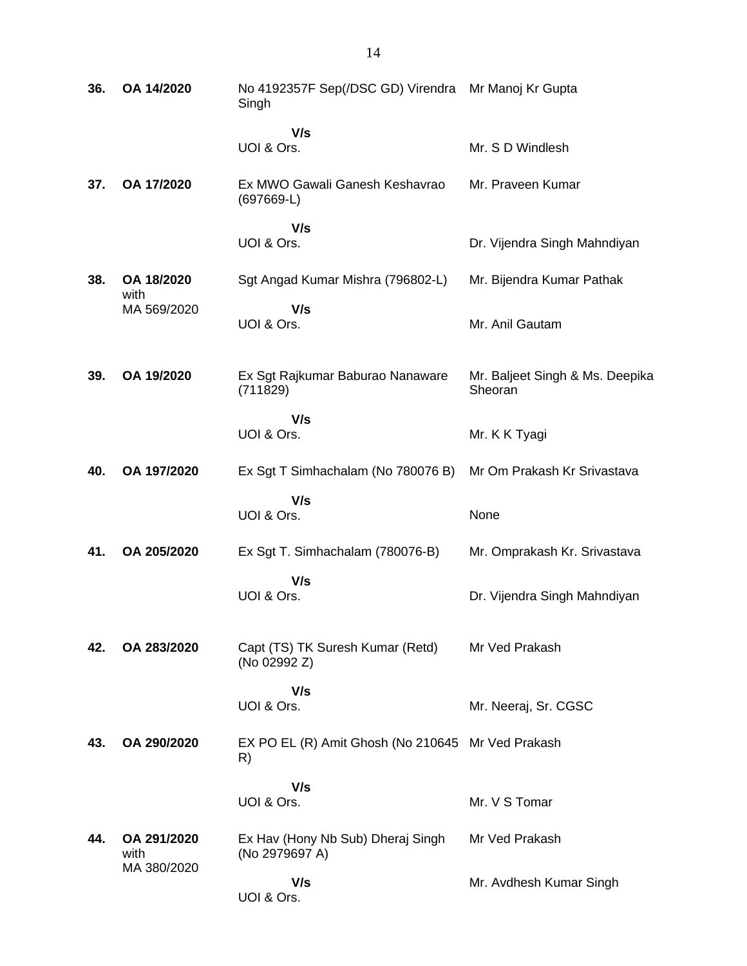| 36. | OA 14/2020                         | No 4192357F Sep(/DSC GD) Virendra Mr Manoj Kr Gupta<br>Singh |                                            |
|-----|------------------------------------|--------------------------------------------------------------|--------------------------------------------|
|     |                                    | V/s<br>UOI & Ors.                                            | Mr. S D Windlesh                           |
| 37. | OA 17/2020                         | Ex MWO Gawali Ganesh Keshavrao<br>$(697669-L)$               | Mr. Praveen Kumar                          |
|     |                                    | V/s<br>UOI & Ors.                                            | Dr. Vijendra Singh Mahndiyan               |
| 38. | OA 18/2020<br>with                 | Sgt Angad Kumar Mishra (796802-L)                            | Mr. Bijendra Kumar Pathak                  |
|     | MA 569/2020                        | V/s<br>UOI & Ors.                                            | Mr. Anil Gautam                            |
| 39. | OA 19/2020                         | Ex Sgt Rajkumar Baburao Nanaware<br>(711829)                 | Mr. Baljeet Singh & Ms. Deepika<br>Sheoran |
|     |                                    | V/s<br>UOI & Ors.                                            | Mr. K K Tyagi                              |
| 40. | OA 197/2020                        | Ex Sgt T Simhachalam (No 780076 B)                           | Mr Om Prakash Kr Srivastava                |
|     |                                    | V/s<br>UOI & Ors.                                            | None                                       |
| 41. | OA 205/2020                        | Ex Sgt T. Simhachalam (780076-B)                             | Mr. Omprakash Kr. Srivastava               |
|     |                                    | V/s<br>UOI & Ors.                                            | Dr. Vijendra Singh Mahndiyan               |
| 42. | OA 283/2020                        | Capt (TS) TK Suresh Kumar (Retd)<br>(No 02992 Z)             | Mr Ved Prakash                             |
|     |                                    | V/s<br>UOI & Ors.                                            | Mr. Neeraj, Sr. CGSC                       |
| 43. | OA 290/2020                        | EX PO EL (R) Amit Ghosh (No 210645 Mr Ved Prakash<br>R)      |                                            |
|     |                                    | V/s<br>UOI & Ors.                                            | Mr. V S Tomar                              |
| 44. | OA 291/2020<br>with<br>MA 380/2020 | Ex Hav (Hony Nb Sub) Dheraj Singh<br>(No 2979697 A)          | Mr Ved Prakash                             |
|     |                                    | V/s<br>UOI & Ors.                                            | Mr. Avdhesh Kumar Singh                    |